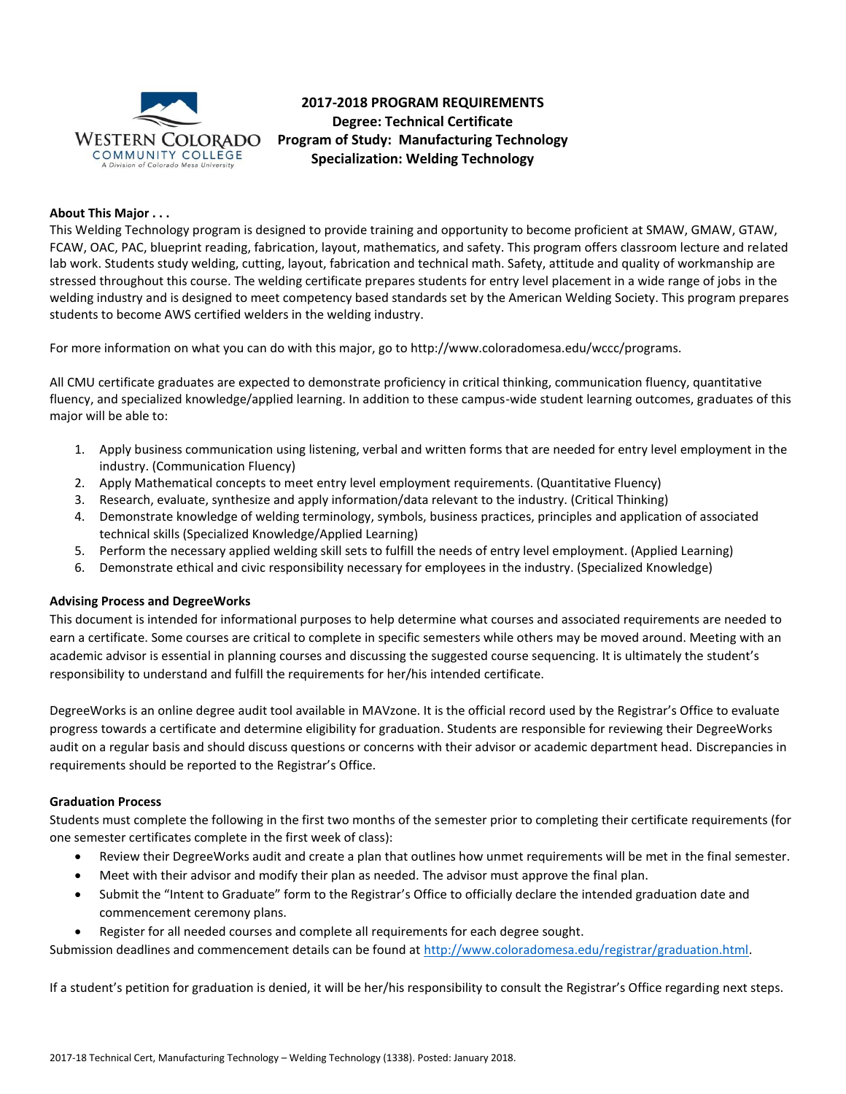

# **2017-2018 PROGRAM REQUIREMENTS Degree: Technical Certificate Program of Study: Manufacturing Technology Specialization: Welding Technology**

### **About This Major . . .**

This Welding Technology program is designed to provide training and opportunity to become proficient at SMAW, GMAW, GTAW, FCAW, OAC, PAC, blueprint reading, fabrication, layout, mathematics, and safety. This program offers classroom lecture and related lab work. Students study welding, cutting, layout, fabrication and technical math. Safety, attitude and quality of workmanship are stressed throughout this course. The welding certificate prepares students for entry level placement in a wide range of jobs in the welding industry and is designed to meet competency based standards set by the American Welding Society. This program prepares students to become AWS certified welders in the welding industry.

For more information on what you can do with this major, go to http://www.coloradomesa.edu/wccc/programs.

All CMU certificate graduates are expected to demonstrate proficiency in critical thinking, communication fluency, quantitative fluency, and specialized knowledge/applied learning. In addition to these campus-wide student learning outcomes, graduates of this major will be able to:

- 1. Apply business communication using listening, verbal and written forms that are needed for entry level employment in the industry. (Communication Fluency)
- 2. Apply Mathematical concepts to meet entry level employment requirements. (Quantitative Fluency)
- 3. Research, evaluate, synthesize and apply information/data relevant to the industry. (Critical Thinking)
- 4. Demonstrate knowledge of welding terminology, symbols, business practices, principles and application of associated technical skills (Specialized Knowledge/Applied Learning)
- 5. Perform the necessary applied welding skill sets to fulfill the needs of entry level employment. (Applied Learning)
- 6. Demonstrate ethical and civic responsibility necessary for employees in the industry. (Specialized Knowledge)

#### **Advising Process and DegreeWorks**

This document is intended for informational purposes to help determine what courses and associated requirements are needed to earn a certificate. Some courses are critical to complete in specific semesters while others may be moved around. Meeting with an academic advisor is essential in planning courses and discussing the suggested course sequencing. It is ultimately the student's responsibility to understand and fulfill the requirements for her/his intended certificate.

DegreeWorks is an online degree audit tool available in MAVzone. It is the official record used by the Registrar's Office to evaluate progress towards a certificate and determine eligibility for graduation. Students are responsible for reviewing their DegreeWorks audit on a regular basis and should discuss questions or concerns with their advisor or academic department head. Discrepancies in requirements should be reported to the Registrar's Office.

#### **Graduation Process**

Students must complete the following in the first two months of the semester prior to completing their certificate requirements (for one semester certificates complete in the first week of class):

- Review their DegreeWorks audit and create a plan that outlines how unmet requirements will be met in the final semester.
- Meet with their advisor and modify their plan as needed. The advisor must approve the final plan.
- Submit the "Intent to Graduate" form to the Registrar's Office to officially declare the intended graduation date and commencement ceremony plans.
- Register for all needed courses and complete all requirements for each degree sought.
- Submission deadlines and commencement details can be found at [http://www.coloradomesa.edu/registrar/graduation.html.](http://www.coloradomesa.edu/registrar/graduation.html)

If a student's petition for graduation is denied, it will be her/his responsibility to consult the Registrar's Office regarding next steps.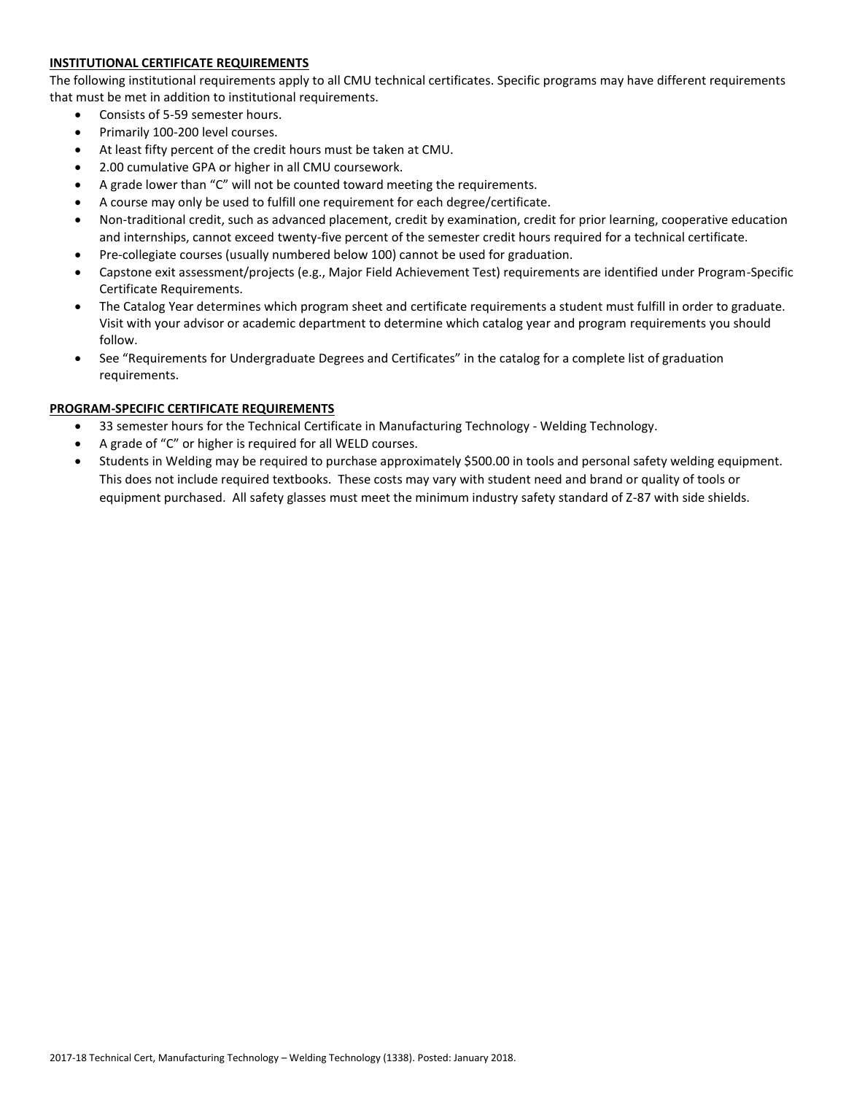# **INSTITUTIONAL CERTIFICATE REQUIREMENTS**

The following institutional requirements apply to all CMU technical certificates. Specific programs may have different requirements that must be met in addition to institutional requirements.

- Consists of 5-59 semester hours.
- Primarily 100-200 level courses.
- At least fifty percent of the credit hours must be taken at CMU.
- 2.00 cumulative GPA or higher in all CMU coursework.
- A grade lower than "C" will not be counted toward meeting the requirements.
- A course may only be used to fulfill one requirement for each degree/certificate.
- Non-traditional credit, such as advanced placement, credit by examination, credit for prior learning, cooperative education and internships, cannot exceed twenty-five percent of the semester credit hours required for a technical certificate.
- Pre-collegiate courses (usually numbered below 100) cannot be used for graduation.
- Capstone exit assessment/projects (e.g., Major Field Achievement Test) requirements are identified under Program-Specific Certificate Requirements.
- The Catalog Year determines which program sheet and certificate requirements a student must fulfill in order to graduate. Visit with your advisor or academic department to determine which catalog year and program requirements you should follow.
- See "Requirements for Undergraduate Degrees and Certificates" in the catalog for a complete list of graduation requirements.

# **PROGRAM-SPECIFIC CERTIFICATE REQUIREMENTS**

- 33 semester hours for the Technical Certificate in Manufacturing Technology Welding Technology.
- A grade of "C" or higher is required for all WELD courses.
- Students in Welding may be required to purchase approximately \$500.00 in tools and personal safety welding equipment. This does not include required textbooks. These costs may vary with student need and brand or quality of tools or equipment purchased. All safety glasses must meet the minimum industry safety standard of Z-87 with side shields.